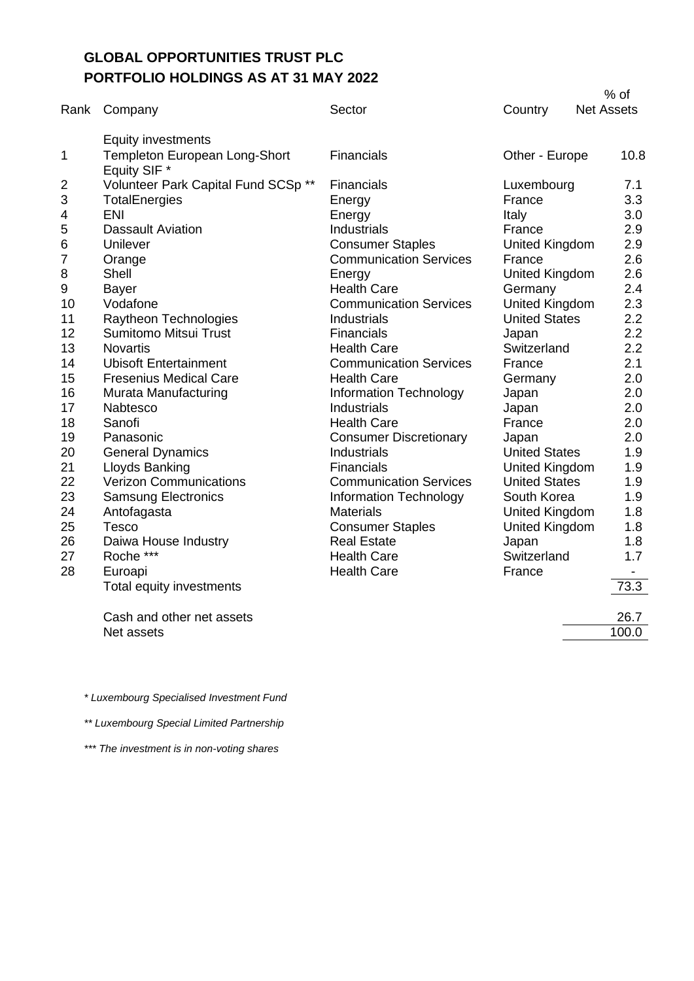## **GLOBAL OPPORTUNITIES TRUST PLC PORTFOLIO HOLDINGS AS AT 31 MAY 2022**

| Rank | Company                                       | Sector                        | Country               | $%$ of<br><b>Net Assets</b> |
|------|-----------------------------------------------|-------------------------------|-----------------------|-----------------------------|
|      |                                               |                               |                       |                             |
|      | <b>Equity investments</b>                     |                               |                       |                             |
| 1    | Templeton European Long-Short<br>Equity SIF * | Financials                    | Other - Europe        | 10.8                        |
| 2    | Volunteer Park Capital Fund SCSp **           | <b>Financials</b>             | Luxembourg            | 7.1                         |
| 3    | TotalEnergies                                 | Energy                        | France                | 3.3                         |
| 4    | <b>ENI</b>                                    | Energy                        | Italy                 | 3.0                         |
| 5    | <b>Dassault Aviation</b>                      | Industrials                   | France                | 2.9                         |
| 6    | Unilever                                      | <b>Consumer Staples</b>       | United Kingdom        | 2.9                         |
| 7    | Orange                                        | <b>Communication Services</b> | France                | 2.6                         |
| 8    | Shell                                         | Energy                        | United Kingdom        | 2.6                         |
| 9    | <b>Bayer</b>                                  | <b>Health Care</b>            | Germany               | 2.4                         |
| 10   | Vodafone                                      | <b>Communication Services</b> | <b>United Kingdom</b> | 2.3                         |
| 11   | Raytheon Technologies                         | Industrials                   | <b>United States</b>  | 2.2                         |
| 12   | <b>Sumitomo Mitsui Trust</b>                  | Financials                    | Japan                 | 2.2                         |
| 13   | <b>Novartis</b>                               | <b>Health Care</b>            | Switzerland           | 2.2                         |
| 14   | <b>Ubisoft Entertainment</b>                  | <b>Communication Services</b> | France                | 2.1                         |
| 15   | <b>Fresenius Medical Care</b>                 | <b>Health Care</b>            | Germany               | 2.0                         |
| 16   | Murata Manufacturing                          | Information Technology        | Japan                 | 2.0                         |
| 17   | Nabtesco                                      | Industrials                   | Japan                 | 2.0                         |
| 18   | Sanofi                                        | <b>Health Care</b>            | France                | 2.0                         |
| 19   | Panasonic                                     | <b>Consumer Discretionary</b> | Japan                 | 2.0                         |
| 20   | <b>General Dynamics</b>                       | Industrials                   | <b>United States</b>  | 1.9                         |
| 21   | Lloyds Banking                                | <b>Financials</b>             | United Kingdom        | 1.9                         |
| 22   | <b>Verizon Communications</b>                 | <b>Communication Services</b> | <b>United States</b>  | 1.9                         |
| 23   | <b>Samsung Electronics</b>                    | Information Technology        | South Korea           | 1.9                         |
| 24   | Antofagasta                                   | <b>Materials</b>              | <b>United Kingdom</b> | 1.8                         |
| 25   | <b>Tesco</b>                                  | <b>Consumer Staples</b>       | United Kingdom        | 1.8                         |
| 26   | Daiwa House Industry                          | <b>Real Estate</b>            | Japan                 | 1.8                         |
| 27   | Roche ***                                     | <b>Health Care</b>            | Switzerland           | 1.7                         |
| 28   | Euroapi                                       | <b>Health Care</b>            | France                |                             |
|      | Total equity investments                      |                               |                       | 73.3                        |
|      | Cash and other net assets                     |                               |                       | 26.7                        |
|      | Net assets                                    |                               |                       | 100.0                       |

*\* Luxembourg Specialised Investment Fund*

*\*\* Luxembourg Special Limited Partnership*

*\*\*\* The investment is in non-voting shares*